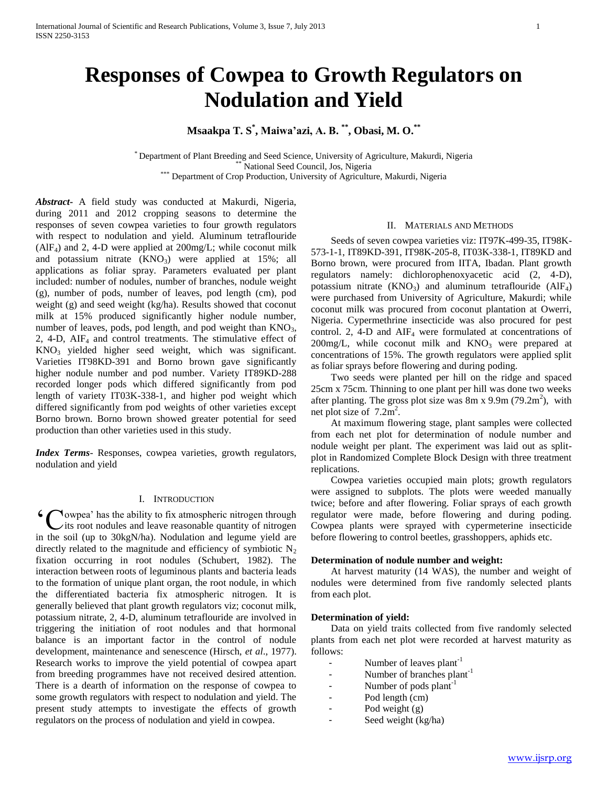# **Responses of Cowpea to Growth Regulators on Nodulation and Yield**

# **Msaakpa T. S\* , Maiwa'azi, A. B. \*\* , Obasi, M. O. \*\***

\* Department of Plant Breeding and Seed Science, University of Agriculture, Makurdi, Nigeria National Seed Council, Jos, Nigeria \*\*\* Department of Crop Production, University of Agriculture, Makurdi, Nigeria

*Abstract***-** A field study was conducted at Makurdi, Nigeria, during 2011 and 2012 cropping seasons to determine the responses of seven cowpea varieties to four growth regulators with respect to nodulation and yield. Aluminum tetraflouride  $(AIF<sub>4</sub>)$  and 2, 4-D were applied at 200mg/L; while coconut milk and potassium nitrate  $(KNO_3)$  were applied at 15%; all applications as foliar spray. Parameters evaluated per plant included: number of nodules, number of branches, nodule weight (g), number of pods, number of leaves, pod length (cm), pod weight (g) and seed weight (kg/ha). Results showed that coconut milk at 15% produced significantly higher nodule number, number of leaves, pods, pod length, and pod weight than  $KNO<sub>3</sub>$ , 2,  $4-D$ ,  $AIF<sub>4</sub>$  and control treatments. The stimulative effect of  $KNO<sub>3</sub>$  yielded higher seed weight, which was significant. Varieties IT98KD-391 and Borno brown gave significantly higher nodule number and pod number. Variety IT89KD-288 recorded longer pods which differed significantly from pod length of variety IT03K-338-1, and higher pod weight which differed significantly from pod weights of other varieties except Borno brown. Borno brown showed greater potential for seed production than other varieties used in this study.

*Index Terms*- Responses, cowpea varieties, growth regulators, nodulation and yield

## I. INTRODUCTION

owpea' has the ability to fix atmospheric nitrogen through its root nodules and leave reasonable quantity of nitrogen 'Cin the soil (up to 30kgN/ha). Nodulation and legume yield are directly related to the magnitude and efficiency of symbiotic  $N_2$ fixation occurring in root nodules (Schubert, 1982). The interaction between roots of leguminous plants and bacteria leads to the formation of unique plant organ, the root nodule, in which the differentiated bacteria fix atmospheric nitrogen. It is generally believed that plant growth regulators viz; coconut milk, potassium nitrate, 2, 4-D, aluminum tetraflouride are involved in triggering the initiation of root nodules and that hormonal balance is an important factor in the control of nodule development, maintenance and senescence (Hirsch, *et al*., 1977). Research works to improve the yield potential of cowpea apart from breeding programmes have not received desired attention. There is a dearth of information on the response of cowpea to some growth regulators with respect to nodulation and yield. The present study attempts to investigate the effects of growth regulators on the process of nodulation and yield in cowpea.

### II. MATERIALS AND METHODS

 Seeds of seven cowpea varieties viz: IT97K-499-35, IT98K-573-1-1, IT89KD-391, IT98K-205-8, IT03K-338-1, IT89KD and Borno brown, were procured from IITA, Ibadan. Plant growth regulators namely: dichlorophenoxyacetic acid (2, 4-D), potassium nitrate  $(KNO<sub>3</sub>)$  and aluminum tetraflouride  $(AIF<sub>4</sub>)$ were purchased from University of Agriculture, Makurdi; while coconut milk was procured from coconut plantation at Owerri, Nigeria. Cypermethrine insecticide was also procured for pest control. 2, 4-D and  $\text{AIF}_4$  were formulated at concentrations of  $200$ mg/L, while coconut milk and  $KNO<sub>3</sub>$  were prepared at concentrations of 15%. The growth regulators were applied split as foliar sprays before flowering and during poding.

 Two seeds were planted per hill on the ridge and spaced 25cm x 75cm. Thinning to one plant per hill was done two weeks after planting. The gross plot size was  $8m \times 9.9m (79.2m^2)$ , with net plot size of  $7.2m^2$ .

 At maximum flowering stage, plant samples were collected from each net plot for determination of nodule number and nodule weight per plant. The experiment was laid out as splitplot in Randomized Complete Block Design with three treatment replications.

 Cowpea varieties occupied main plots; growth regulators were assigned to subplots. The plots were weeded manually twice; before and after flowering. Foliar sprays of each growth regulator were made, before flowering and during poding. Cowpea plants were sprayed with cypermeterine insecticide before flowering to control beetles, grasshoppers, aphids etc.

#### **Determination of nodule number and weight:**

 At harvest maturity (14 WAS), the number and weight of nodules were determined from five randomly selected plants from each plot.

#### **Determination of yield:**

 Data on yield traits collected from five randomly selected plants from each net plot were recorded at harvest maturity as follows:

- Number of leaves  $plant^{-1}$
- Number of branches plant<sup>-1</sup>
- Number of pods plant<sup>-1</sup>
- Pod length (cm)
- Pod weight (g)
- Seed weight (kg/ha)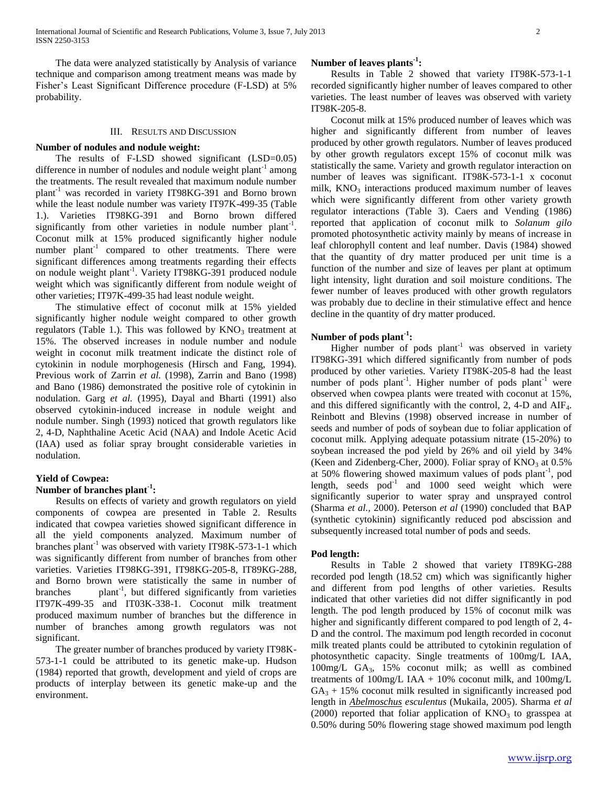The data were analyzed statistically by Analysis of variance technique and comparison among treatment means was made by Fisher's Least Significant Difference procedure (F-LSD) at 5% probability.

#### III. RESULTS AND DISCUSSION

## **Number of nodules and nodule weight:**

 The results of F-LSD showed significant (LSD=0.05) difference in number of nodules and nodule weight plant<sup>-1</sup> among the treatments. The result revealed that maximum nodule number plant-1 was recorded in variety IT98KG-391 and Borno brown while the least nodule number was variety IT97K-499-35 (Table 1.). Varieties IT98KG-391 and Borno brown differed significantly from other varieties in nodule number plant<sup>-1</sup>. Coconut milk at 15% produced significantly higher nodule number plant<sup>-1</sup> compared to other treatments. There were significant differences among treatments regarding their effects on nodule weight plant<sup>-1</sup>. Variety IT98KG-391 produced nodule weight which was significantly different from nodule weight of other varieties; IT97K-499-35 had least nodule weight.

 The stimulative effect of coconut milk at 15% yielded significantly higher nodule weight compared to other growth regulators (Table 1.). This was followed by  $KNO<sub>3</sub>$  treatment at 15%. The observed increases in nodule number and nodule weight in coconut milk treatment indicate the distinct role of cytokinin in nodule morphogenesis (Hirsch and Fang, 1994). Previous work of Zarrin et al. (1998), Zarrin and Bano (1998) and Bano (1986) demonstrated the positive role of cytokinin in nodulation. Garg *et al.* (1995), Dayal and Bharti (1991) also observed cytokinin-induced increase in nodule weight and nodule number. Singh (1993) noticed that growth regulators like 2, 4-D, Naphthaline Acetic Acid (NAA) and Indole Acetic Acid (IAA) used as foliar spray brought considerable varieties in nodulation.

## **Yield of Cowpea:**

# **Number of branches plant-1 :**

 Results on effects of variety and growth regulators on yield components of cowpea are presented in Table 2. Results indicated that cowpea varieties showed significant difference in all the yield components analyzed. Maximum number of branches plant<sup>-1</sup> was observed with variety IT98K-573-1-1 which was significantly different from number of branches from other varieties. Varieties IT98KG-391, IT98KG-205-8, IT89KG-288, and Borno brown were statistically the same in number of branches  $plant^{-1}$ , but differed significantly from varieties IT97K-499-35 and IT03K-338-1. Coconut milk treatment produced maximum number of branches but the difference in number of branches among growth regulators was not significant.

 The greater number of branches produced by variety IT98K-573-1-1 could be attributed to its genetic make-up. Hudson (1984) reported that growth, development and yield of crops are products of interplay between its genetic make-up and the environment.

# **Number of leaves plants-1 :**

 Results in Table 2 showed that variety IT98K-573-1-1 recorded significantly higher number of leaves compared to other varieties. The least number of leaves was observed with variety IT98K-205-8.

 Coconut milk at 15% produced number of leaves which was higher and significantly different from number of leaves produced by other growth regulators. Number of leaves produced by other growth regulators except 15% of coconut milk was statistically the same. Variety and growth regulator interaction on number of leaves was significant. IT98K-573-1-1 x coconut milk,  $KNO<sub>3</sub>$  interactions produced maximum number of leaves which were significantly different from other variety growth regulator interactions (Table 3). Caers and Vending (1986) reported that application of coconut milk to *Solanum gilo* promoted photosynthetic activity mainly by means of increase in leaf chlorophyll content and leaf number. Davis (1984) showed that the quantity of dry matter produced per unit time is a function of the number and size of leaves per plant at optimum light intensity, light duration and soil moisture conditions. The fewer number of leaves produced with other growth regulators was probably due to decline in their stimulative effect and hence decline in the quantity of dry matter produced.

# **Number of pods plant-1 :**

Higher number of pods  $plant^{-1}$  was observed in variety IT98KG-391 which differed significantly from number of pods produced by other varieties. Variety IT98K-205-8 had the least number of pods plant<sup>-1</sup>. Higher number of pods plant<sup>-1</sup> were observed when cowpea plants were treated with coconut at 15%, and this differed significantly with the control,  $2$ ,  $4-D$  and  $AIF_4$ . Reinbott and Blevins (1998) observed increase in number of seeds and number of pods of soybean due to foliar application of coconut milk. Applying adequate potassium nitrate (15-20%) to soybean increased the pod yield by 26% and oil yield by 34% (Keen and Zidenberg-Cher, 2000). Foliar spray of  $KNO<sub>3</sub>$  at 0.5% at 50% flowering showed maximum values of pods plant<sup>-1</sup>, pod length, seeds  $pod^{-1}$  and 1000 seed weight which were significantly superior to water spray and unsprayed control (Sharma *et al.,* 2000). Peterson *et al* (1990) concluded that BAP (synthetic cytokinin) significantly reduced pod abscission and subsequently increased total number of pods and seeds.

#### **Pod length:**

 Results in Table 2 showed that variety IT89KG-288 recorded pod length (18.52 cm) which was significantly higher and different from pod lengths of other varieties. Results indicated that other varieties did not differ significantly in pod length. The pod length produced by 15% of coconut milk was higher and significantly different compared to pod length of 2, 4- D and the control. The maximum pod length recorded in coconut milk treated plants could be attributed to cytokinin regulation of photosynthetic capacity. Single treatments of 100mg/L IAA, 100mg/L GA3, 15% coconut milk; as welll as combined treatments of 100mg/L IAA + 10% coconut milk, and 100mg/L  $GA<sub>3</sub> + 15%$  coconut milk resulted in significantly increased pod length in *Abelmoschus esculentus* (Mukaila, 2005). Sharma *et al* (2000) reported that foliar application of  $KNO<sub>3</sub>$  to grasspea at 0.50% during 50% flowering stage showed maximum pod length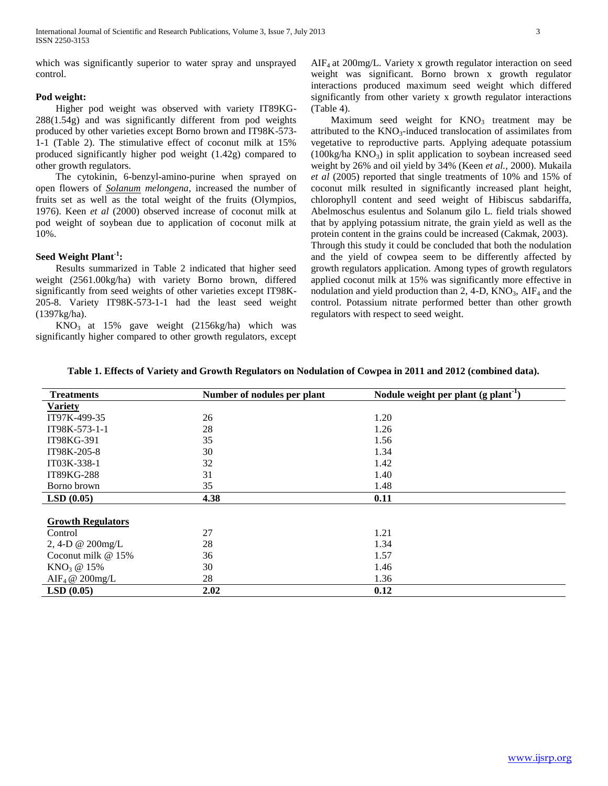which was significantly superior to water spray and unsprayed control.

## **Pod weight:**

 Higher pod weight was observed with variety IT89KG-288(1.54g) and was significantly different from pod weights produced by other varieties except Borno brown and IT98K-573- 1-1 (Table 2). The stimulative effect of coconut milk at 15% produced significantly higher pod weight (1.42g) compared to other growth regulators.

 The cytokinin, 6-benzyl-amino-purine when sprayed on open flowers of *Solanum melongena*, increased the number of fruits set as well as the total weight of the fruits (Olympios, 1976). Keen *et al* (2000) observed increase of coconut milk at pod weight of soybean due to application of coconut milk at 10%.

# **Seed Weight Plant-1 :**

 Results summarized in Table 2 indicated that higher seed weight (2561.00kg/ha) with variety Borno brown, differed significantly from seed weights of other varieties except IT98K-205-8. Variety IT98K-573-1-1 had the least seed weight (1397kg/ha).

 $KNO<sub>3</sub>$  at 15% gave weight (2156kg/ha) which was significantly higher compared to other growth regulators, except  $AIF<sub>4</sub>$  at 200mg/L. Variety x growth regulator interaction on seed weight was significant. Borno brown x growth regulator interactions produced maximum seed weight which differed significantly from other variety x growth regulator interactions (Table 4).

Maximum seed weight for  $KNO<sub>3</sub>$  treatment may be attributed to the  $KNO_3$ -induced translocation of assimilates from vegetative to reproductive parts. Applying adequate potassium  $(100\text{kg/ha KNO}_3)$  in split application to soybean increased seed weight by 26% and oil yield by 34% (Keen *et al.,* 2000). Mukaila *et al* (2005) reported that single treatments of 10% and 15% of coconut milk resulted in significantly increased plant height, chlorophyll content and seed weight of Hibiscus sabdariffa, Abelmoschus esulentus and Solanum gilo L. field trials showed that by applying potassium nitrate, the grain yield as well as the protein content in the grains could be increased (Cakmak, 2003). Through this study it could be concluded that both the nodulation and the yield of cowpea seem to be differently affected by growth regulators application. Among types of growth regulators applied coconut milk at 15% was significantly more effective in nodulation and yield production than 2, 4-D,  $KNO<sub>3</sub>$ ,  $AIF<sub>4</sub>$  and the control. Potassium nitrate performed better than other growth regulators with respect to seed weight.

| <b>Treatments</b>          | Number of nodules per plant | Nodule weight per plant $(g$ plant <sup>-1</sup> ) |  |  |
|----------------------------|-----------------------------|----------------------------------------------------|--|--|
| <b>Variety</b>             |                             |                                                    |  |  |
| IT97K-499-35               | 26                          | 1.20                                               |  |  |
| IT98K-573-1-1              | 28                          | 1.26                                               |  |  |
| IT98KG-391                 | 35                          | 1.56                                               |  |  |
| IT98K-205-8                | 30                          | 1.34                                               |  |  |
| IT03K-338-1                | 32                          | 1.42                                               |  |  |
| <b>IT89KG-288</b>          | 31                          | 1.40                                               |  |  |
| Borno brown                | 35                          | 1.48                                               |  |  |
| LSD(0.05)                  | 4.38                        | 0.11                                               |  |  |
|                            |                             |                                                    |  |  |
| <b>Growth Regulators</b>   |                             |                                                    |  |  |
| Control                    | 27                          | 1.21                                               |  |  |
| 2, 4-D $\omega$ 200mg/L    | 28                          | 1.34                                               |  |  |
| Coconut milk $@15\%$       | 36                          | 1.57                                               |  |  |
| $KNO3$ @ 15%               | 30                          | 1.46                                               |  |  |
| AIF <sub>4</sub> @ 200mg/L | 28                          | 1.36                                               |  |  |
| LSD(0.05)                  | 2.02                        | 0.12                                               |  |  |

## **Table 1. Effects of Variety and Growth Regulators on Nodulation of Cowpea in 2011 and 2012 (combined data).**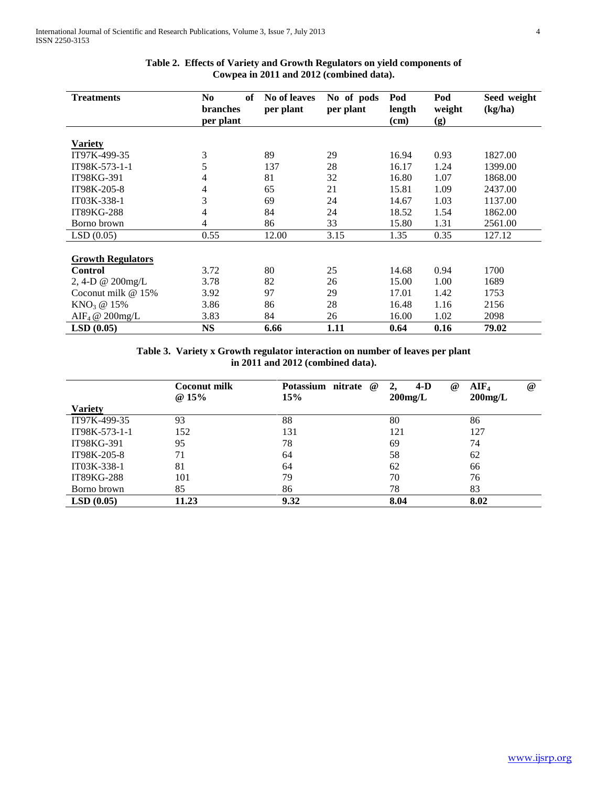| <b>Treatments</b>             | No<br>of<br><b>branches</b><br>per plant | No of leaves<br>per plant | No of pods<br>per plant | Pod<br>length<br>(cm) | Pod<br>weight<br>(g) | Seed weight<br>(kg/ha) |
|-------------------------------|------------------------------------------|---------------------------|-------------------------|-----------------------|----------------------|------------------------|
|                               |                                          |                           |                         |                       |                      |                        |
| <b>Variety</b>                |                                          |                           |                         |                       |                      |                        |
| IT97K-499-35                  | 3                                        | 89                        | 29                      | 16.94                 | 0.93                 | 1827.00                |
| IT98K-573-1-1                 | 5                                        | 137                       | 28                      | 16.17                 | 1.24                 | 1399.00                |
| IT98KG-391                    | 4                                        | 81                        | 32                      | 16.80                 | 1.07                 | 1868.00                |
| IT98K-205-8                   | 4                                        | 65                        | 21                      | 15.81                 | 1.09                 | 2437.00                |
| IT03K-338-1                   | 3                                        | 69                        | 24                      | 14.67                 | 1.03                 | 1137.00                |
| IT89KG-288                    | $\overline{4}$                           | 84                        | 24                      | 18.52                 | 1.54                 | 1862.00                |
| Borno brown                   | $\overline{4}$                           | 86                        | 33                      | 15.80                 | 1.31                 | 2561.00                |
| LSD(0.05)                     | 0.55                                     | 12.00                     | 3.15                    | 1.35                  | 0.35                 | 127.12                 |
| <b>Growth Regulators</b>      |                                          |                           |                         |                       |                      |                        |
| <b>Control</b>                | 3.72                                     | 80                        | 25                      | 14.68                 | 0.94                 | 1700                   |
| 2, 4-D @ 200mg/L              | 3.78                                     | 82                        | 26                      | 15.00                 | 1.00                 | 1689                   |
| Coconut milk @ 15%            | 3.92                                     | 97                        | 29                      | 17.01                 | 1.42                 | 1753                   |
| KNO <sub>3</sub> @ 15%        | 3.86                                     | 86                        | 28                      | 16.48                 | 1.16                 | 2156                   |
| AIF <sub>4</sub> @ $200$ mg/L | 3.83                                     | 84                        | 26                      | 16.00                 | 1.02                 | 2098                   |
| LSD(0.05)                     | <b>NS</b>                                | 6.66                      | 1.11                    | 0.64                  | 0.16                 | 79.02                  |

# **Table 2. Effects of Variety and Growth Regulators on yield components of Cowpea in 2011 and 2012 (combined data).**

**Table 3. Variety x Growth regulator interaction on number of leaves per plant in 2011 and 2012 (combined data).**

|                   | Coconut milk<br>@15% | Potassium nitrate<br>$\omega$<br>15% | $4-D$<br>$\omega$<br>2,<br>$200$ mg/L | AIF <sub>4</sub><br>$^{\omega}{}$<br>$200$ mg/L |
|-------------------|----------------------|--------------------------------------|---------------------------------------|-------------------------------------------------|
| <b>Variety</b>    |                      |                                      |                                       |                                                 |
| IT97K-499-35      | 93                   | 88                                   | 80                                    | 86                                              |
| IT98K-573-1-1     | 152                  | 131                                  | 121                                   | 127                                             |
| IT98KG-391        | 95                   | 78                                   | 69                                    | 74                                              |
| IT98K-205-8       | 71                   | 64                                   | 58                                    | 62                                              |
| IT03K-338-1       | 81                   | 64                                   | 62                                    | 66                                              |
| <b>IT89KG-288</b> | 101                  | 79                                   | 70                                    | 76                                              |
| Borno brown       | 85                   | 86                                   | 78                                    | 83                                              |
| LSD(0.05)         | 11.23                | 9.32                                 | 8.04                                  | 8.02                                            |